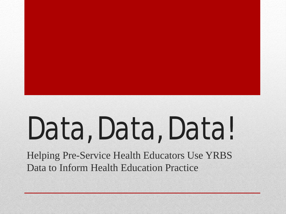# Data, Data, Data!

Helping Pre-Service Health Educators Use YRBS Data to Inform Health Education Practice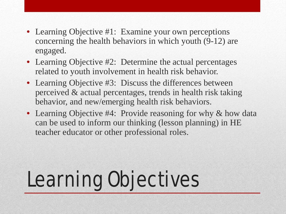- Learning Objective #1: Examine your own perceptions concerning the health behaviors in which youth (9-12) are engaged.
- Learning Objective #2: Determine the actual percentages related to youth involvement in health risk behavior.
- Learning Objective #3: Discuss the differences between perceived & actual percentages, trends in health risk taking behavior, and new/emerging health risk behaviors.
- Learning Objective #4: Provide reasoning for why & how data can be used to inform our thinking (lesson planning) in HE teacher educator or other professional roles.

# Learning Objectives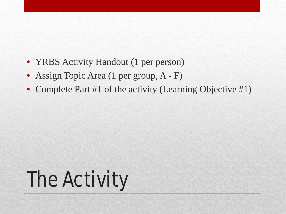- YRBS Activity Handout (1 per person)
- Assign Topic Area (1 per group, A F)
- Complete Part #1 of the activity (Learning Objective #1)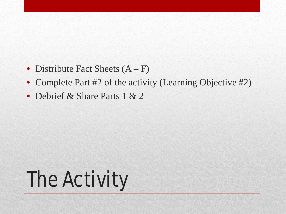- Distribute Fact Sheets  $(A F)$
- Complete Part #2 of the activity (Learning Objective #2)
- Debrief & Share Parts 1 & 2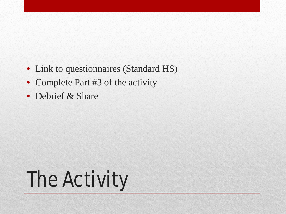- Link to questionnaires (Standard HS)
- Complete Part #3 of the activity
- Debrief & Share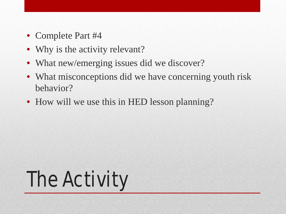- Complete Part #4
- Why is the activity relevant?
- What new/emerging issues did we discover?
- What misconceptions did we have concerning youth risk behavior?
- How will we use this in HED lesson planning?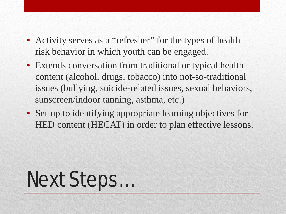- Activity serves as a "refresher" for the types of health risk behavior in which youth can be engaged.
- Extends conversation from traditional or typical health content (alcohol, drugs, tobacco) into not-so-traditional issues (bullying, suicide-related issues, sexual behaviors, sunscreen/indoor tanning, asthma, etc.)
- Set-up to identifying appropriate learning objectives for HED content (HECAT) in order to plan effective lessons.

#### Next Steps…